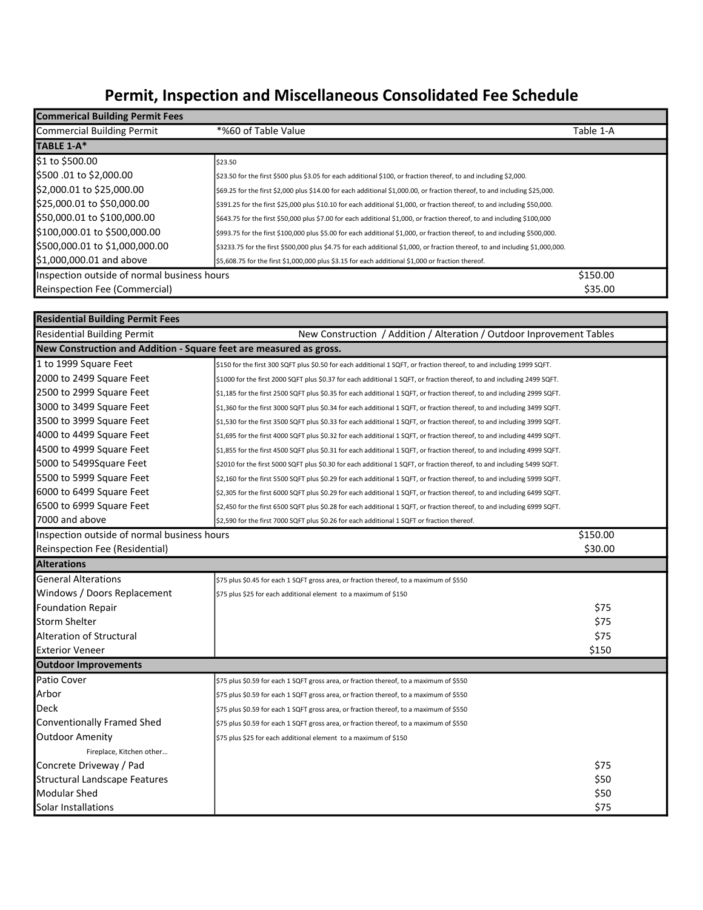## Permit, Inspection and Miscellaneous Consolidated Fee Schedule

| <b>Commerical Building Permit Fees</b>      |                                                                                                                               |           |
|---------------------------------------------|-------------------------------------------------------------------------------------------------------------------------------|-----------|
| Commercial Building Permit                  | *%60 of Table Value                                                                                                           | Table 1-A |
| TABLE 1-A*                                  |                                                                                                                               |           |
| \$1 to \$500.00                             | \$23.50                                                                                                                       |           |
| \$500.01 to \$2,000.00                      | \$23.50 for the first \$500 plus \$3.05 for each additional \$100, or fraction thereof, to and including \$2,000.             |           |
| \$2,000.01 to \$25,000.00                   | \$69.25 for the first \$2,000 plus \$14.00 for each additional \$1,000.00, or fraction thereof, to and including \$25,000.    |           |
| \$25,000.01 to \$50,000.00                  | \$391.25 for the first \$25,000 plus \$10.10 for each additional \$1,000, or fraction thereof, to and including \$50,000.     |           |
| \$50,000.01 to \$100,000.00                 | \$643.75 for the first \$50,000 plus \$7.00 for each additional \$1,000, or fraction thereof, to and including \$100,000      |           |
| \$100,000.01 to \$500,000.00                | \$993.75 for the first \$100,000 plus \$5.00 for each additional \$1,000, or fraction thereof, to and including \$500,000.    |           |
| \$500,000.01 to \$1,000,000.00              | \$3233.75 for the first \$500,000 plus \$4.75 for each additional \$1,000, or fraction thereof, to and including \$1,000,000. |           |
| \$1,000,000.01 and above                    | \$5,608.75 for the first \$1,000,000 plus \$3.15 for each additional \$1,000 or fraction thereof.                             |           |
| Inspection outside of normal business hours |                                                                                                                               | \$150.00  |
| Reinspection Fee (Commercial)               |                                                                                                                               | \$35.00   |

| <b>Residential Building Permit Fees</b>                            |                                                                                                                          |          |
|--------------------------------------------------------------------|--------------------------------------------------------------------------------------------------------------------------|----------|
| <b>Residential Building Permit</b>                                 | New Construction / Addition / Alteration / Outdoor Inprovement Tables                                                    |          |
| New Construction and Addition - Square feet are measured as gross. |                                                                                                                          |          |
| 1 to 1999 Square Feet                                              | \$150 for the first 300 SQFT plus \$0.50 for each additional 1 SQFT, or fraction thereof, to and including 1999 SQFT.    |          |
| 2000 to 2499 Square Feet                                           | \$1000 for the first 2000 SQFT plus \$0.37 for each additional 1 SQFT, or fraction thereof, to and including 2499 SQFT.  |          |
| 2500 to 2999 Square Feet                                           | \$1,185 for the first 2500 SQFT plus \$0.35 for each additional 1 SQFT, or fraction thereof, to and including 2999 SQFT. |          |
| 3000 to 3499 Square Feet                                           | \$1,360 for the first 3000 SQFT plus \$0.34 for each additional 1 SQFT, or fraction thereof, to and including 3499 SQFT. |          |
| 3500 to 3999 Square Feet                                           | \$1,530 for the first 3500 SQFT plus \$0.33 for each additional 1 SQFT, or fraction thereof, to and including 3999 SQFT. |          |
| 4000 to 4499 Square Feet                                           | \$1,695 for the first 4000 SQFT plus \$0.32 for each additional 1 SQFT, or fraction thereof, to and including 4499 SQFT. |          |
| 4500 to 4999 Square Feet                                           | \$1,855 for the first 4500 SQFT plus \$0.31 for each additional 1 SQFT, or fraction thereof, to and including 4999 SQFT. |          |
| 5000 to 5499Square Feet                                            | \$2010 for the first 5000 SQFT plus \$0.30 for each additional 1 SQFT, or fraction thereof, to and including 5499 SQFT.  |          |
| 5500 to 5999 Square Feet                                           | \$2,160 for the first 5500 SQFT plus \$0.29 for each additional 1 SQFT, or fraction thereof, to and including 5999 SQFT. |          |
| 6000 to 6499 Square Feet                                           | \$2,305 for the first 6000 SQFT plus \$0.29 for each additional 1 SQFT, or fraction thereof, to and including 6499 SQFT. |          |
| 6500 to 6999 Square Feet                                           | \$2,450 for the first 6500 SQFT plus \$0.28 for each additional 1 SQFT, or fraction thereof, to and including 6999 SQFT. |          |
| 7000 and above                                                     | \$2,590 for the first 7000 SQFT plus \$0.26 for each additional 1 SQFT or fraction thereof.                              |          |
| Inspection outside of normal business hours                        |                                                                                                                          | \$150.00 |
| Reinspection Fee (Residential)                                     |                                                                                                                          | \$30.00  |
| <b>Alterations</b>                                                 |                                                                                                                          |          |
| <b>General Alterations</b>                                         | \$75 plus \$0.45 for each 1 SQFT gross area, or fraction thereof, to a maximum of \$550                                  |          |
| Windows / Doors Replacement                                        | \$75 plus \$25 for each additional element to a maximum of \$150                                                         |          |
| <b>Foundation Repair</b>                                           |                                                                                                                          | \$75     |
| <b>Storm Shelter</b>                                               |                                                                                                                          | \$75     |
| Alteration of Structural                                           |                                                                                                                          | \$75     |
| <b>Exterior Veneer</b>                                             |                                                                                                                          | \$150    |
| <b>Outdoor Improvements</b>                                        |                                                                                                                          |          |
| Patio Cover                                                        | \$75 plus \$0.59 for each 1 SQFT gross area, or fraction thereof, to a maximum of \$550                                  |          |
| Arbor                                                              | \$75 plus \$0.59 for each 1 SQFT gross area, or fraction thereof, to a maximum of \$550                                  |          |
| <b>Deck</b>                                                        | \$75 plus \$0.59 for each 1 SQFT gross area, or fraction thereof, to a maximum of \$550                                  |          |
| Conventionally Framed Shed                                         | \$75 plus \$0.59 for each 1 SQFT gross area, or fraction thereof, to a maximum of \$550                                  |          |
| Outdoor Amenity                                                    | \$75 plus \$25 for each additional element to a maximum of \$150                                                         |          |
| Fireplace, Kitchen other                                           |                                                                                                                          |          |
| Concrete Driveway / Pad                                            |                                                                                                                          | \$75     |
| Structural Landscape Features                                      |                                                                                                                          | \$50     |
| Modular Shed                                                       |                                                                                                                          | \$50     |
| Solar Installations                                                |                                                                                                                          | \$75     |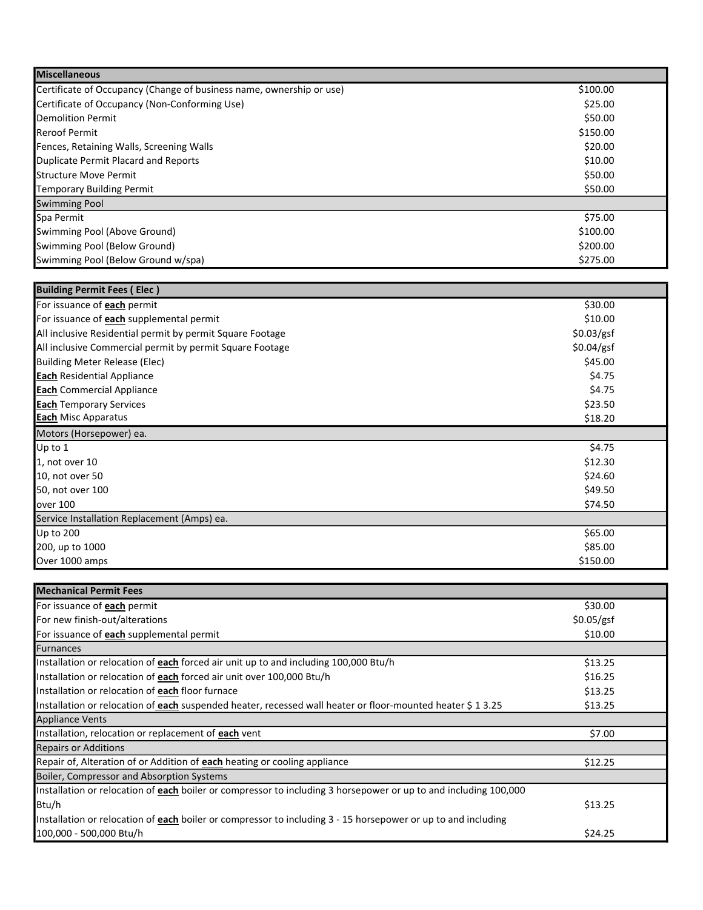| <b>Miscellaneous</b>                                                 |          |
|----------------------------------------------------------------------|----------|
| Certificate of Occupancy (Change of business name, ownership or use) | \$100.00 |
| Certificate of Occupancy (Non-Conforming Use)                        | \$25.00  |
| Demolition Permit                                                    | \$50.00  |
| <b>Reroof Permit</b>                                                 | \$150.00 |
| Fences, Retaining Walls, Screening Walls                             | \$20.00  |
| Duplicate Permit Placard and Reports                                 | \$10.00  |
| <b>I</b> Structure Move Permit                                       | \$50.00  |
| Temporary Building Permit                                            | \$50.00  |
| <b>Swimming Pool</b>                                                 |          |
| Spa Permit                                                           | \$75.00  |
| Swimming Pool (Above Ground)                                         | \$100.00 |
| Swimming Pool (Below Ground)                                         | \$200.00 |
| Swimming Pool (Below Ground w/spa)                                   | \$275.00 |

| <b>Building Permit Fees (Elec)</b>                        |            |
|-----------------------------------------------------------|------------|
| For issuance of each permit                               | \$30.00    |
| For issuance of <b>each</b> supplemental permit           | \$10.00    |
| All inclusive Residential permit by permit Square Footage | \$0.03/gsf |
| All inclusive Commercial permit by permit Square Footage  | \$0.04/gsf |
| Building Meter Release (Elec)                             | \$45.00    |
| <b>Each</b> Residential Appliance                         | \$4.75     |
| <b>Each</b> Commercial Appliance                          | \$4.75     |
| <b>Each</b> Temporary Services                            | \$23.50    |
| <b>Each</b> Misc Apparatus                                | \$18.20    |
|                                                           |            |
| Motors (Horsepower) ea.                                   |            |
| $Up$ to 1                                                 | \$4.75     |
| 1, not over 10                                            | \$12.30    |
| 10, not over 50                                           | \$24.60    |
| 50, not over 100                                          | \$49.50    |
| over 100                                                  | \$74.50    |
| Service Installation Replacement (Amps) ea.               |            |
| Up to 200                                                 | \$65.00    |
| 200, up to 1000                                           | \$85.00    |

| <b>Mechanical Permit Fees</b>                                                                                    |            |  |
|------------------------------------------------------------------------------------------------------------------|------------|--|
| For issuance of each permit                                                                                      | \$30.00    |  |
| For new finish-out/alterations                                                                                   | \$0.05/gsf |  |
| For issuance of each supplemental permit                                                                         | \$10.00    |  |
| Furnances                                                                                                        |            |  |
| Installation or relocation of each forced air unit up to and including 100,000 Btu/h                             | \$13.25    |  |
| Installation or relocation of each forced air unit over 100,000 Btu/h                                            | \$16.25    |  |
| Installation or relocation of each floor furnace                                                                 | \$13.25    |  |
| Installation or relocation of each suspended heater, recessed wall heater or floor-mounted heater \$ 1 3.25      | \$13.25    |  |
| <b>Appliance Vents</b>                                                                                           |            |  |
| Installation, relocation or replacement of each vent                                                             | \$7.00     |  |
| <b>Repairs or Additions</b>                                                                                      |            |  |
| Repair of, Alteration of or Addition of <b>each</b> heating or cooling appliance                                 | \$12.25    |  |
| Boiler, Compressor and Absorption Systems                                                                        |            |  |
| Installation or relocation of each boiler or compressor to including 3 horsepower or up to and including 100,000 |            |  |
| Btu/h                                                                                                            | \$13.25    |  |
| Installation or relocation of each boiler or compressor to including 3 - 15 horsepower or up to and including    |            |  |
| 100,000 - 500,000 Btu/h                                                                                          | \$24.25    |  |